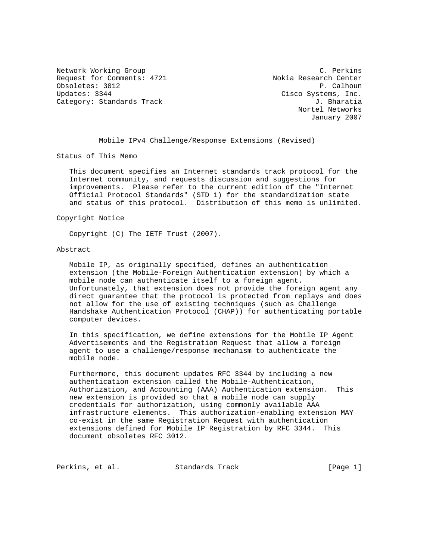Network Working Group C. Perkins Request for Comments: 4721 Nokia Research Center Obsoletes: 3012 P. Calhoun Updates: 3344 Cisco Systems, Inc. Category: Standards Track J. Bharatia

 Nortel Networks January 2007

Mobile IPv4 Challenge/Response Extensions (Revised)

Status of This Memo

 This document specifies an Internet standards track protocol for the Internet community, and requests discussion and suggestions for improvements. Please refer to the current edition of the "Internet Official Protocol Standards" (STD 1) for the standardization state and status of this protocol. Distribution of this memo is unlimited.

#### Copyright Notice

Copyright (C) The IETF Trust (2007).

#### Abstract

 Mobile IP, as originally specified, defines an authentication extension (the Mobile-Foreign Authentication extension) by which a mobile node can authenticate itself to a foreign agent. Unfortunately, that extension does not provide the foreign agent any direct guarantee that the protocol is protected from replays and does not allow for the use of existing techniques (such as Challenge Handshake Authentication Protocol (CHAP)) for authenticating portable computer devices.

 In this specification, we define extensions for the Mobile IP Agent Advertisements and the Registration Request that allow a foreign agent to use a challenge/response mechanism to authenticate the mobile node.

 Furthermore, this document updates RFC 3344 by including a new authentication extension called the Mobile-Authentication, Authorization, and Accounting (AAA) Authentication extension. This new extension is provided so that a mobile node can supply credentials for authorization, using commonly available AAA infrastructure elements. This authorization-enabling extension MAY co-exist in the same Registration Request with authentication extensions defined for Mobile IP Registration by RFC 3344. This document obsoletes RFC 3012.

Perkins, et al. Standards Track [Page 1]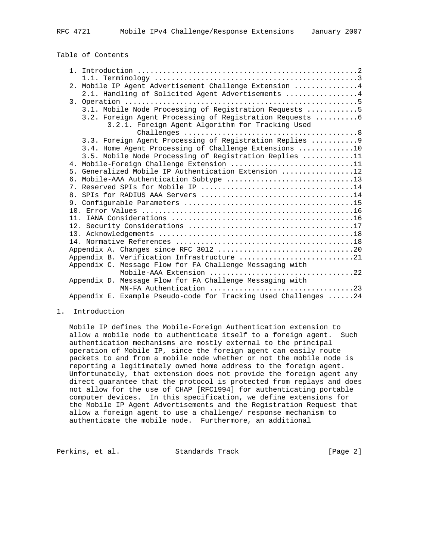# Table of Contents

|  | 2. Mobile IP Agent Advertisement Challenge Extension  4         |
|--|-----------------------------------------------------------------|
|  | 2.1. Handling of Solicited Agent Advertisements 4               |
|  |                                                                 |
|  | 3.1. Mobile Node Processing of Registration Requests 5          |
|  | 3.2. Foreign Agent Processing of Registration Requests 6        |
|  | 3.2.1. Foreign Agent Algorithm for Tracking Used                |
|  |                                                                 |
|  | 3.3. Foreign Agent Processing of Registration Replies  9        |
|  | 3.4. Home Agent Processing of Challenge Extensions 10           |
|  | 3.5. Mobile Node Processing of Registration Replies 11          |
|  | 4. Mobile-Foreign Challenge Extension 11                        |
|  | 5. Generalized Mobile IP Authentication Extension 12            |
|  |                                                                 |
|  |                                                                 |
|  |                                                                 |
|  |                                                                 |
|  |                                                                 |
|  |                                                                 |
|  |                                                                 |
|  |                                                                 |
|  |                                                                 |
|  |                                                                 |
|  | Appendix B. Verification Infrastructure 21                      |
|  | Appendix C. Message Flow for FA Challenge Messaging with        |
|  | Mobile-AAA Extension 22                                         |
|  | Appendix D. Message Flow for FA Challenge Messaging with        |
|  | MN-FA Authentication 23                                         |
|  | Appendix E. Example Pseudo-code for Tracking Used Challenges 24 |

#### 1. Introduction

 Mobile IP defines the Mobile-Foreign Authentication extension to allow a mobile node to authenticate itself to a foreign agent. Such authentication mechanisms are mostly external to the principal operation of Mobile IP, since the foreign agent can easily route packets to and from a mobile node whether or not the mobile node is reporting a legitimately owned home address to the foreign agent. Unfortunately, that extension does not provide the foreign agent any direct guarantee that the protocol is protected from replays and does not allow for the use of CHAP [RFC1994] for authenticating portable computer devices. In this specification, we define extensions for the Mobile IP Agent Advertisements and the Registration Request that allow a foreign agent to use a challenge/ response mechanism to authenticate the mobile node. Furthermore, an additional

Perkins, et al. Standards Track [Page 2]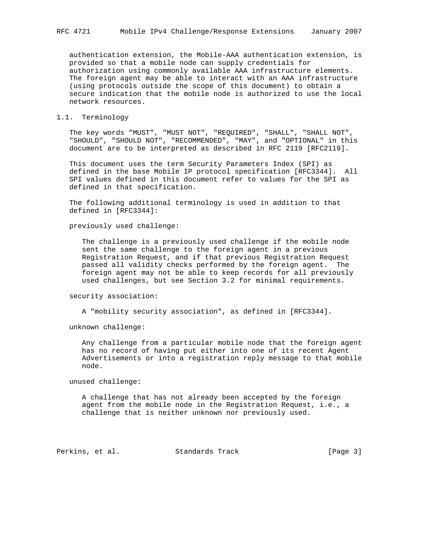authentication extension, the Mobile-AAA authentication extension, is provided so that a mobile node can supply credentials for authorization using commonly available AAA infrastructure elements. The foreign agent may be able to interact with an AAA infrastructure (using protocols outside the scope of this document) to obtain a secure indication that the mobile node is authorized to use the local network resources.

### 1.1. Terminology

 The key words "MUST", "MUST NOT", "REQUIRED", "SHALL", "SHALL NOT", "SHOULD", "SHOULD NOT", "RECOMMENDED", "MAY", and "OPTIONAL" in this document are to be interpreted as described in RFC 2119 [RFC2119].

 This document uses the term Security Parameters Index (SPI) as defined in the base Mobile IP protocol specification [RFC3344]. All SPI values defined in this document refer to values for the SPI as defined in that specification.

 The following additional terminology is used in addition to that defined in [RFC3344]:

previously used challenge:

 The challenge is a previously used challenge if the mobile node sent the same challenge to the foreign agent in a previous Registration Request, and if that previous Registration Request passed all validity checks performed by the foreign agent. The foreign agent may not be able to keep records for all previously used challenges, but see Section 3.2 for minimal requirements.

security association:

A "mobility security association", as defined in [RFC3344].

unknown challenge:

 Any challenge from a particular mobile node that the foreign agent has no record of having put either into one of its recent Agent Advertisements or into a registration reply message to that mobile node.

unused challenge:

 A challenge that has not already been accepted by the foreign agent from the mobile node in the Registration Request, i.e., a challenge that is neither unknown nor previously used.

Perkins, et al. Standards Track [Page 3]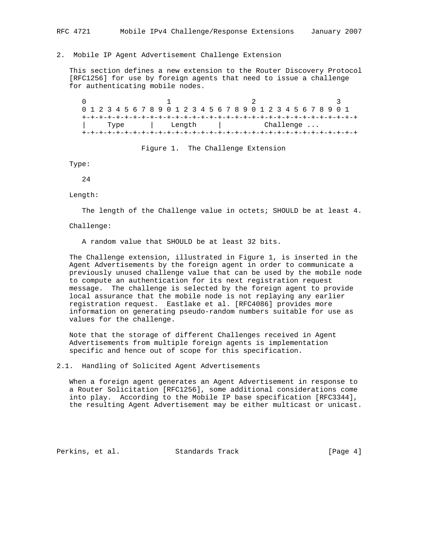2. Mobile IP Agent Advertisement Challenge Extension

 This section defines a new extension to the Router Discovery Protocol [RFC1256] for use by foreign agents that need to issue a challenge for authenticating mobile nodes.

 $0$  and  $1$  and  $2$  3 0 1 2 3 4 5 6 7 8 9 0 1 2 3 4 5 6 7 8 9 0 1 2 3 4 5 6 7 8 9 0 1 +-+-+-+-+-+-+-+-+-+-+-+-+-+-+-+-+-+-+-+-+-+-+-+-+-+-+-+-+-+-+-+-+ Type | Length | Challenge ... +-+-+-+-+-+-+-+-+-+-+-+-+-+-+-+-+-+-+-+-+-+-+-+-+-+-+-+-+-+-+-+-+

Figure 1. The Challenge Extension

Type:

24

Length:

The length of the Challenge value in octets; SHOULD be at least 4.

Challenge:

A random value that SHOULD be at least 32 bits.

 The Challenge extension, illustrated in Figure 1, is inserted in the Agent Advertisements by the foreign agent in order to communicate a previously unused challenge value that can be used by the mobile node to compute an authentication for its next registration request message. The challenge is selected by the foreign agent to provide local assurance that the mobile node is not replaying any earlier registration request. Eastlake et al. [RFC4086] provides more information on generating pseudo-random numbers suitable for use as values for the challenge.

 Note that the storage of different Challenges received in Agent Advertisements from multiple foreign agents is implementation specific and hence out of scope for this specification.

2.1. Handling of Solicited Agent Advertisements

 When a foreign agent generates an Agent Advertisement in response to a Router Solicitation [RFC1256], some additional considerations come into play. According to the Mobile IP base specification [RFC3344], the resulting Agent Advertisement may be either multicast or unicast.

Perkins, et al. Standards Track [Page 4]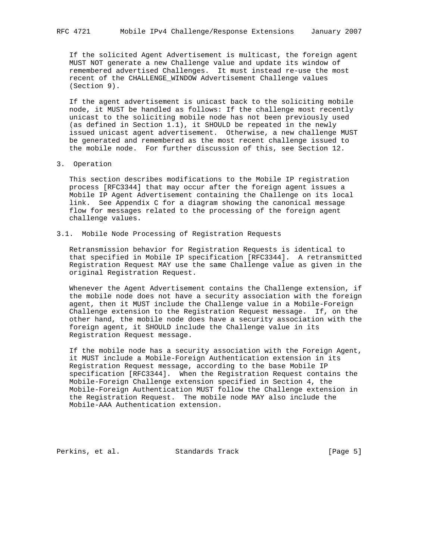If the solicited Agent Advertisement is multicast, the foreign agent MUST NOT generate a new Challenge value and update its window of remembered advertised Challenges. It must instead re-use the most recent of the CHALLENGE\_WINDOW Advertisement Challenge values (Section 9).

 If the agent advertisement is unicast back to the soliciting mobile node, it MUST be handled as follows: If the challenge most recently unicast to the soliciting mobile node has not been previously used (as defined in Section 1.1), it SHOULD be repeated in the newly issued unicast agent advertisement. Otherwise, a new challenge MUST be generated and remembered as the most recent challenge issued to the mobile node. For further discussion of this, see Section 12.

3. Operation

 This section describes modifications to the Mobile IP registration process [RFC3344] that may occur after the foreign agent issues a Mobile IP Agent Advertisement containing the Challenge on its local link. See Appendix C for a diagram showing the canonical message flow for messages related to the processing of the foreign agent challenge values.

3.1. Mobile Node Processing of Registration Requests

 Retransmission behavior for Registration Requests is identical to that specified in Mobile IP specification [RFC3344]. A retransmitted Registration Request MAY use the same Challenge value as given in the original Registration Request.

 Whenever the Agent Advertisement contains the Challenge extension, if the mobile node does not have a security association with the foreign agent, then it MUST include the Challenge value in a Mobile-Foreign Challenge extension to the Registration Request message. If, on the other hand, the mobile node does have a security association with the foreign agent, it SHOULD include the Challenge value in its Registration Request message.

 If the mobile node has a security association with the Foreign Agent, it MUST include a Mobile-Foreign Authentication extension in its Registration Request message, according to the base Mobile IP specification [RFC3344]. When the Registration Request contains the Mobile-Foreign Challenge extension specified in Section 4, the Mobile-Foreign Authentication MUST follow the Challenge extension in the Registration Request. The mobile node MAY also include the Mobile-AAA Authentication extension.

Perkins, et al. Standards Track [Page 5]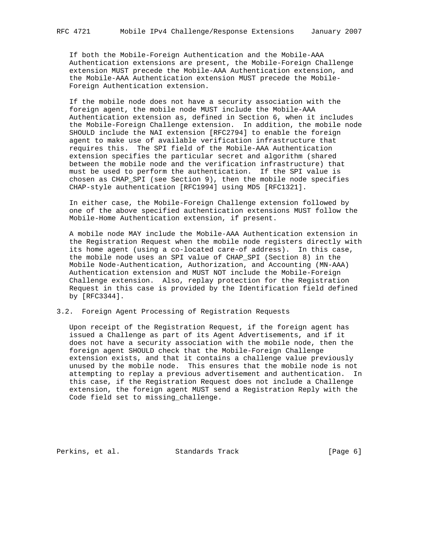If both the Mobile-Foreign Authentication and the Mobile-AAA Authentication extensions are present, the Mobile-Foreign Challenge extension MUST precede the Mobile-AAA Authentication extension, and the Mobile-AAA Authentication extension MUST precede the Mobile- Foreign Authentication extension.

 If the mobile node does not have a security association with the foreign agent, the mobile node MUST include the Mobile-AAA Authentication extension as, defined in Section 6, when it includes the Mobile-Foreign Challenge extension. In addition, the mobile node SHOULD include the NAI extension [RFC2794] to enable the foreign agent to make use of available verification infrastructure that requires this. The SPI field of the Mobile-AAA Authentication extension specifies the particular secret and algorithm (shared between the mobile node and the verification infrastructure) that must be used to perform the authentication. If the SPI value is chosen as CHAP\_SPI (see Section 9), then the mobile node specifies CHAP-style authentication [RFC1994] using MD5 [RFC1321].

 In either case, the Mobile-Foreign Challenge extension followed by one of the above specified authentication extensions MUST follow the Mobile-Home Authentication extension, if present.

 A mobile node MAY include the Mobile-AAA Authentication extension in the Registration Request when the mobile node registers directly with its home agent (using a co-located care-of address). In this case, the mobile node uses an SPI value of CHAP\_SPI (Section 8) in the Mobile Node-Authentication, Authorization, and Accounting (MN-AAA) Authentication extension and MUST NOT include the Mobile-Foreign Challenge extension. Also, replay protection for the Registration Request in this case is provided by the Identification field defined by [RFC3344].

### 3.2. Foreign Agent Processing of Registration Requests

 Upon receipt of the Registration Request, if the foreign agent has issued a Challenge as part of its Agent Advertisements, and if it does not have a security association with the mobile node, then the foreign agent SHOULD check that the Mobile-Foreign Challenge extension exists, and that it contains a challenge value previously unused by the mobile node. This ensures that the mobile node is not attempting to replay a previous advertisement and authentication. In this case, if the Registration Request does not include a Challenge extension, the foreign agent MUST send a Registration Reply with the Code field set to missing\_challenge.

Perkins, et al. Standards Track [Page 6]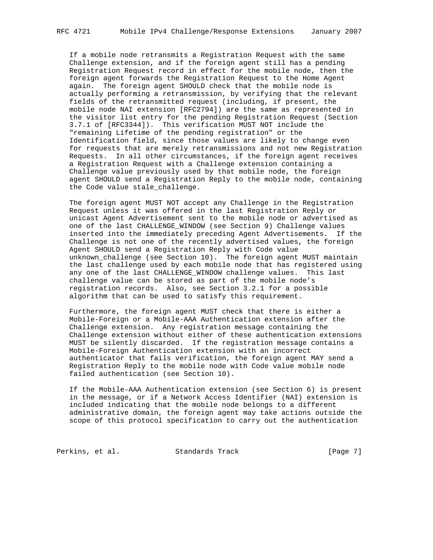If a mobile node retransmits a Registration Request with the same Challenge extension, and if the foreign agent still has a pending Registration Request record in effect for the mobile node, then the foreign agent forwards the Registration Request to the Home Agent again. The foreign agent SHOULD check that the mobile node is actually performing a retransmission, by verifying that the relevant fields of the retransmitted request (including, if present, the mobile node NAI extension [RFC2794]) are the same as represented in the visitor list entry for the pending Registration Request (Section 3.7.1 of [RFC3344]). This verification MUST NOT include the "remaining Lifetime of the pending registration" or the Identification field, since those values are likely to change even for requests that are merely retransmissions and not new Registration Requests. In all other circumstances, if the foreign agent receives a Registration Request with a Challenge extension containing a Challenge value previously used by that mobile node, the foreign agent SHOULD send a Registration Reply to the mobile node, containing the Code value stale\_challenge.

 The foreign agent MUST NOT accept any Challenge in the Registration Request unless it was offered in the last Registration Reply or unicast Agent Advertisement sent to the mobile node or advertised as one of the last CHALLENGE\_WINDOW (see Section 9) Challenge values inserted into the immediately preceding Agent Advertisements. If the Challenge is not one of the recently advertised values, the foreign Agent SHOULD send a Registration Reply with Code value unknown\_challenge (see Section 10). The foreign agent MUST maintain the last challenge used by each mobile node that has registered using any one of the last CHALLENGE\_WINDOW challenge values. This last challenge value can be stored as part of the mobile node's registration records. Also, see Section 3.2.1 for a possible algorithm that can be used to satisfy this requirement.

 Furthermore, the foreign agent MUST check that there is either a Mobile-Foreign or a Mobile-AAA Authentication extension after the Challenge extension. Any registration message containing the Challenge extension without either of these authentication extensions MUST be silently discarded. If the registration message contains a Mobile-Foreign Authentication extension with an incorrect authenticator that fails verification, the foreign agent MAY send a Registration Reply to the mobile node with Code value mobile node failed authentication (see Section 10).

 If the Mobile-AAA Authentication extension (see Section 6) is present in the message, or if a Network Access Identifier (NAI) extension is included indicating that the mobile node belongs to a different administrative domain, the foreign agent may take actions outside the scope of this protocol specification to carry out the authentication

Perkins, et al. Standards Track [Page 7]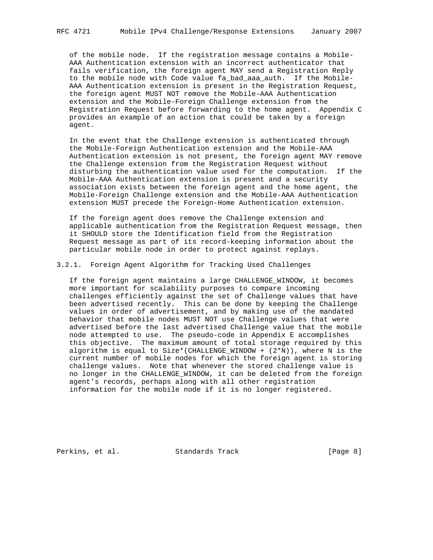of the mobile node. If the registration message contains a Mobile- AAA Authentication extension with an incorrect authenticator that fails verification, the foreign agent MAY send a Registration Reply to the mobile node with Code value fa\_bad\_aaa\_auth. If the Mobile- AAA Authentication extension is present in the Registration Request, the foreign agent MUST NOT remove the Mobile-AAA Authentication extension and the Mobile-Foreign Challenge extension from the Registration Request before forwarding to the home agent. Appendix C provides an example of an action that could be taken by a foreign agent.

 In the event that the Challenge extension is authenticated through the Mobile-Foreign Authentication extension and the Mobile-AAA Authentication extension is not present, the foreign agent MAY remove the Challenge extension from the Registration Request without disturbing the authentication value used for the computation. If the Mobile-AAA Authentication extension is present and a security association exists between the foreign agent and the home agent, the Mobile-Foreign Challenge extension and the Mobile-AAA Authentication extension MUST precede the Foreign-Home Authentication extension.

 If the foreign agent does remove the Challenge extension and applicable authentication from the Registration Request message, then it SHOULD store the Identification field from the Registration Request message as part of its record-keeping information about the particular mobile node in order to protect against replays.

3.2.1. Foreign Agent Algorithm for Tracking Used Challenges

 If the foreign agent maintains a large CHALLENGE\_WINDOW, it becomes more important for scalability purposes to compare incoming challenges efficiently against the set of Challenge values that have been advertised recently. This can be done by keeping the Challenge values in order of advertisement, and by making use of the mandated behavior that mobile nodes MUST NOT use Challenge values that were advertised before the last advertised Challenge value that the mobile node attempted to use. The pseudo-code in Appendix E accomplishes this objective. The maximum amount of total storage required by this algorithm is equal to Size\*(CHALLENGE\_WINDOW + (2\*N)), where N is the current number of mobile nodes for which the foreign agent is storing challenge values. Note that whenever the stored challenge value is no longer in the CHALLENGE\_WINDOW, it can be deleted from the foreign agent's records, perhaps along with all other registration information for the mobile node if it is no longer registered.

Perkins, et al. Standards Track [Page 8]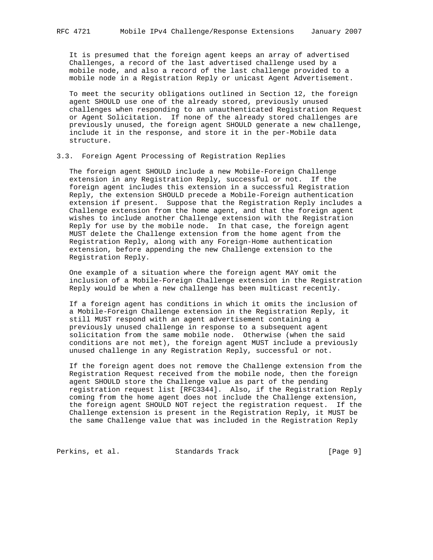It is presumed that the foreign agent keeps an array of advertised Challenges, a record of the last advertised challenge used by a mobile node, and also a record of the last challenge provided to a mobile node in a Registration Reply or unicast Agent Advertisement.

 To meet the security obligations outlined in Section 12, the foreign agent SHOULD use one of the already stored, previously unused challenges when responding to an unauthenticated Registration Request or Agent Solicitation. If none of the already stored challenges are previously unused, the foreign agent SHOULD generate a new challenge, include it in the response, and store it in the per-Mobile data structure.

3.3. Foreign Agent Processing of Registration Replies

 The foreign agent SHOULD include a new Mobile-Foreign Challenge extension in any Registration Reply, successful or not. If the foreign agent includes this extension in a successful Registration Reply, the extension SHOULD precede a Mobile-Foreign authentication extension if present. Suppose that the Registration Reply includes a Challenge extension from the home agent, and that the foreign agent wishes to include another Challenge extension with the Registration Reply for use by the mobile node. In that case, the foreign agent MUST delete the Challenge extension from the home agent from the Registration Reply, along with any Foreign-Home authentication extension, before appending the new Challenge extension to the Registration Reply.

 One example of a situation where the foreign agent MAY omit the inclusion of a Mobile-Foreign Challenge extension in the Registration Reply would be when a new challenge has been multicast recently.

 If a foreign agent has conditions in which it omits the inclusion of a Mobile-Foreign Challenge extension in the Registration Reply, it still MUST respond with an agent advertisement containing a previously unused challenge in response to a subsequent agent solicitation from the same mobile node. Otherwise (when the said conditions are not met), the foreign agent MUST include a previously unused challenge in any Registration Reply, successful or not.

 If the foreign agent does not remove the Challenge extension from the Registration Request received from the mobile node, then the foreign agent SHOULD store the Challenge value as part of the pending registration request list [RFC3344]. Also, if the Registration Reply coming from the home agent does not include the Challenge extension, the foreign agent SHOULD NOT reject the registration request. If the Challenge extension is present in the Registration Reply, it MUST be the same Challenge value that was included in the Registration Reply

Perkins, et al. Standards Track [Page 9]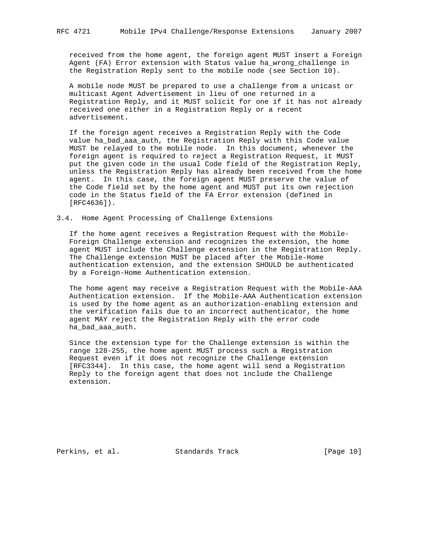received from the home agent, the foreign agent MUST insert a Foreign Agent (FA) Error extension with Status value ha\_wrong\_challenge in the Registration Reply sent to the mobile node (see Section 10).

 A mobile node MUST be prepared to use a challenge from a unicast or multicast Agent Advertisement in lieu of one returned in a Registration Reply, and it MUST solicit for one if it has not already received one either in a Registration Reply or a recent advertisement.

 If the foreign agent receives a Registration Reply with the Code value ha\_bad\_aaa\_auth, the Registration Reply with this Code value MUST be relayed to the mobile node. In this document, whenever the foreign agent is required to reject a Registration Request, it MUST put the given code in the usual Code field of the Registration Reply, unless the Registration Reply has already been received from the home agent. In this case, the foreign agent MUST preserve the value of the Code field set by the home agent and MUST put its own rejection code in the Status field of the FA Error extension (defined in [RFC4636]).

#### 3.4. Home Agent Processing of Challenge Extensions

 If the home agent receives a Registration Request with the Mobile- Foreign Challenge extension and recognizes the extension, the home agent MUST include the Challenge extension in the Registration Reply. The Challenge extension MUST be placed after the Mobile-Home authentication extension, and the extension SHOULD be authenticated by a Foreign-Home Authentication extension.

 The home agent may receive a Registration Request with the Mobile-AAA Authentication extension. If the Mobile-AAA Authentication extension is used by the home agent as an authorization-enabling extension and the verification fails due to an incorrect authenticator, the home agent MAY reject the Registration Reply with the error code ha\_bad\_aaa\_auth.

 Since the extension type for the Challenge extension is within the range 128-255, the home agent MUST process such a Registration Request even if it does not recognize the Challenge extension [RFC3344]. In this case, the home agent will send a Registration Reply to the foreign agent that does not include the Challenge extension.

Perkins, et al. Standards Track [Page 10]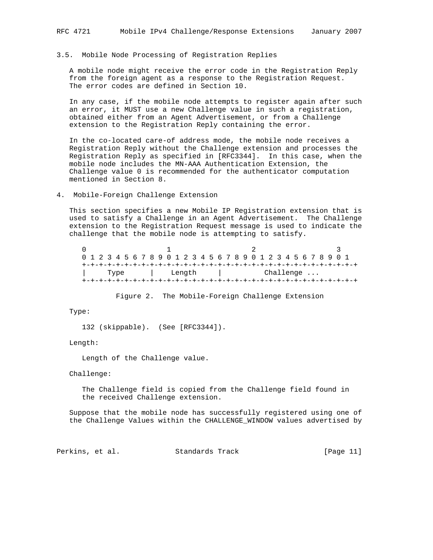## 3.5. Mobile Node Processing of Registration Replies

 A mobile node might receive the error code in the Registration Reply from the foreign agent as a response to the Registration Request. The error codes are defined in Section 10.

 In any case, if the mobile node attempts to register again after such an error, it MUST use a new Challenge value in such a registration, obtained either from an Agent Advertisement, or from a Challenge extension to the Registration Reply containing the error.

 In the co-located care-of address mode, the mobile node receives a Registration Reply without the Challenge extension and processes the Registration Reply as specified in [RFC3344]. In this case, when the mobile node includes the MN-AAA Authentication Extension, the Challenge value 0 is recommended for the authenticator computation mentioned in Section 8.

### 4. Mobile-Foreign Challenge Extension

 This section specifies a new Mobile IP Registration extension that is used to satisfy a Challenge in an Agent Advertisement. The Challenge extension to the Registration Request message is used to indicate the challenge that the mobile node is attempting to satisfy.

 $0$  and  $1$  and  $2$  3 0 1 2 3 4 5 6 7 8 9 0 1 2 3 4 5 6 7 8 9 0 1 2 3 4 5 6 7 8 9 0 1 +-+-+-+-+-+-+-+-+-+-+-+-+-+-+-+-+-+-+-+-+-+-+-+-+-+-+-+-+-+-+-+-+ | Type | Length | Challenge ... +-+-+-+-+-+-+-+-+-+-+-+-+-+-+-+-+-+-+-+-+-+-+-+-+-+-+-+-+-+-+-+-+

Figure 2. The Mobile-Foreign Challenge Extension

### Type:

132 (skippable). (See [RFC3344]).

Length:

Length of the Challenge value.

Challenge:

 The Challenge field is copied from the Challenge field found in the received Challenge extension.

 Suppose that the mobile node has successfully registered using one of the Challenge Values within the CHALLENGE\_WINDOW values advertised by

Perkins, et al. Standards Track [Page 11]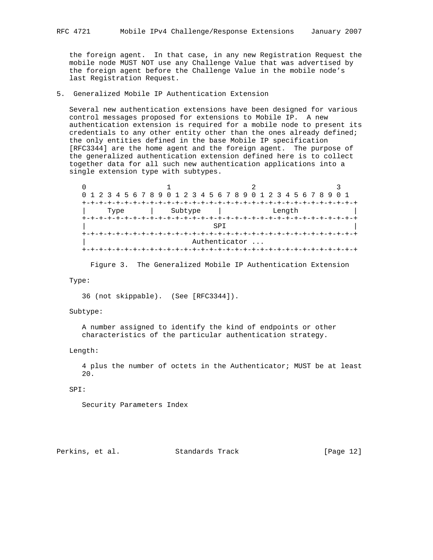the foreign agent. In that case, in any new Registration Request the mobile node MUST NOT use any Challenge Value that was advertised by the foreign agent before the Challenge Value in the mobile node's last Registration Request.

## 5. Generalized Mobile IP Authentication Extension

 Several new authentication extensions have been designed for various control messages proposed for extensions to Mobile IP. A new authentication extension is required for a mobile node to present its credentials to any other entity other than the ones already defined; the only entities defined in the base Mobile IP specification [RFC3344] are the home agent and the foreign agent. The purpose of the generalized authentication extension defined here is to collect together data for all such new authentication applications into a single extension type with subtypes.

| 0 1 2 3 4 5 6 7 8 9 0 1 2 3 4 5 6 7 8 9 0 1 2 3 4 5 6 7 8 9 0 1 |                            |        |  |
|-----------------------------------------------------------------|----------------------------|--------|--|
|                                                                 | +-+-+-+-+-+-+-+-+-+-+-+-+- |        |  |
| Type                                                            | Subtype                    | Length |  |
|                                                                 | -+-+-+-+-+-+-+-+-+-+-+-+   |        |  |
|                                                                 | <b>SPT</b>                 |        |  |
|                                                                 |                            |        |  |
|                                                                 | Authenticator              |        |  |
|                                                                 |                            |        |  |

Figure 3. The Generalized Mobile IP Authentication Extension

Type:

36 (not skippable). (See [RFC3344]).

Subtype:

 A number assigned to identify the kind of endpoints or other characteristics of the particular authentication strategy.

Length:

 4 plus the number of octets in the Authenticator; MUST be at least 20.

### SPI:

Security Parameters Index

Perkins, et al. Standards Track [Page 12]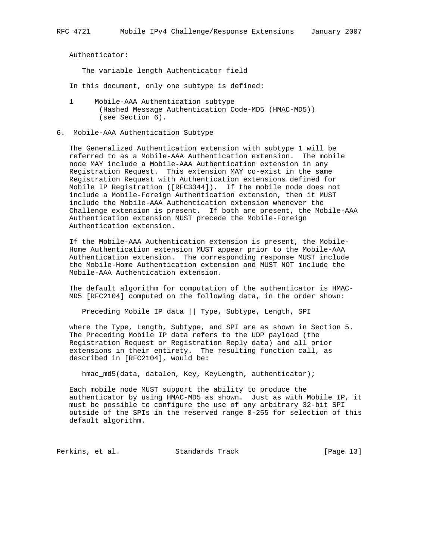Authenticator:

The variable length Authenticator field

- In this document, only one subtype is defined:
- 1 Mobile-AAA Authentication subtype (Hashed Message Authentication Code-MD5 (HMAC-MD5)) (see Section 6).
- 6. Mobile-AAA Authentication Subtype

 The Generalized Authentication extension with subtype 1 will be referred to as a Mobile-AAA Authentication extension. The mobile node MAY include a Mobile-AAA Authentication extension in any Registration Request. This extension MAY co-exist in the same Registration Request with Authentication extensions defined for Mobile IP Registration ([RFC3344]). If the mobile node does not include a Mobile-Foreign Authentication extension, then it MUST include the Mobile-AAA Authentication extension whenever the Challenge extension is present. If both are present, the Mobile-AAA Authentication extension MUST precede the Mobile-Foreign Authentication extension.

 If the Mobile-AAA Authentication extension is present, the Mobile- Home Authentication extension MUST appear prior to the Mobile-AAA Authentication extension. The corresponding response MUST include the Mobile-Home Authentication extension and MUST NOT include the Mobile-AAA Authentication extension.

 The default algorithm for computation of the authenticator is HMAC- MD5 [RFC2104] computed on the following data, in the order shown:

Preceding Mobile IP data || Type, Subtype, Length, SPI

 where the Type, Length, Subtype, and SPI are as shown in Section 5. The Preceding Mobile IP data refers to the UDP payload (the Registration Request or Registration Reply data) and all prior extensions in their entirety. The resulting function call, as described in [RFC2104], would be:

hmac\_md5(data, datalen, Key, KeyLength, authenticator);

 Each mobile node MUST support the ability to produce the authenticator by using HMAC-MD5 as shown. Just as with Mobile IP, it must be possible to configure the use of any arbitrary 32-bit SPI outside of the SPIs in the reserved range 0-255 for selection of this default algorithm.

Perkins, et al. Standards Track [Page 13]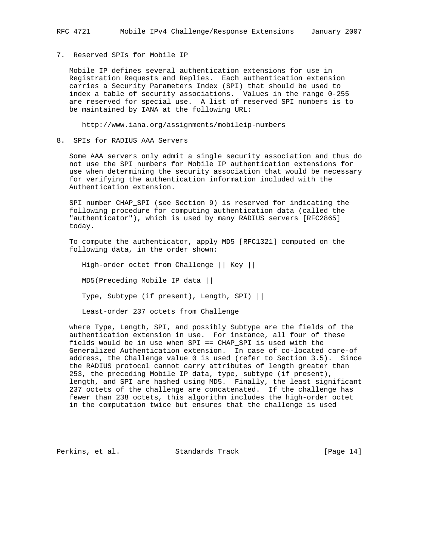## 7. Reserved SPIs for Mobile IP

 Mobile IP defines several authentication extensions for use in Registration Requests and Replies. Each authentication extension carries a Security Parameters Index (SPI) that should be used to index a table of security associations. Values in the range 0-255 are reserved for special use. A list of reserved SPI numbers is to be maintained by IANA at the following URL:

http://www.iana.org/assignments/mobileip-numbers

#### 8. SPIs for RADIUS AAA Servers

 Some AAA servers only admit a single security association and thus do not use the SPI numbers for Mobile IP authentication extensions for use when determining the security association that would be necessary for verifying the authentication information included with the Authentication extension.

 SPI number CHAP\_SPI (see Section 9) is reserved for indicating the following procedure for computing authentication data (called the "authenticator"), which is used by many RADIUS servers [RFC2865] today.

 To compute the authenticator, apply MD5 [RFC1321] computed on the following data, in the order shown:

 High-order octet from Challenge || Key || MD5(Preceding Mobile IP data || Type, Subtype (if present), Length, SPI) || Least-order 237 octets from Challenge

where Type, Length, SPI, and possibly Subtype are the fields of the

 authentication extension in use. For instance, all four of these fields would be in use when SPI == CHAP\_SPI is used with the Generalized Authentication extension. In case of co-located care-of address, the Challenge value 0 is used (refer to Section 3.5). Since the RADIUS protocol cannot carry attributes of length greater than 253, the preceding Mobile IP data, type, subtype (if present), length, and SPI are hashed using MD5. Finally, the least significant 237 octets of the challenge are concatenated. If the challenge has fewer than 238 octets, this algorithm includes the high-order octet in the computation twice but ensures that the challenge is used

Perkins, et al. Standards Track [Page 14]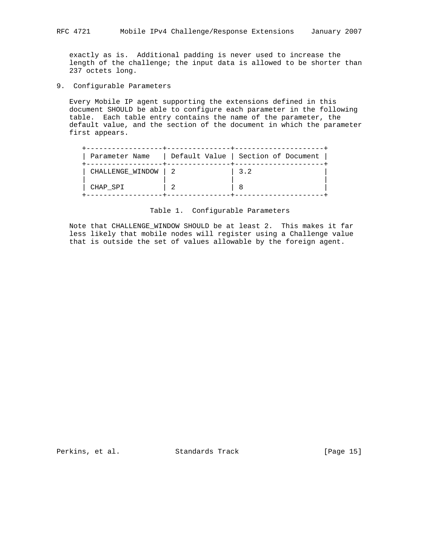exactly as is. Additional padding is never used to increase the length of the challenge; the input data is allowed to be shorter than 237 octets long.

9. Configurable Parameters

 Every Mobile IP agent supporting the extensions defined in this document SHOULD be able to configure each parameter in the following table. Each table entry contains the name of the parameter, the default value, and the section of the document in which the parameter first appears.

| Parameter Name   | Default Value   Section of Document |
|------------------|-------------------------------------|
| CHALLENGE_WINDOW | 3.2                                 |
| CHAP SPI         |                                     |

#### Table 1. Configurable Parameters

 Note that CHALLENGE\_WINDOW SHOULD be at least 2. This makes it far less likely that mobile nodes will register using a Challenge value that is outside the set of values allowable by the foreign agent.

Perkins, et al. Standards Track [Page 15]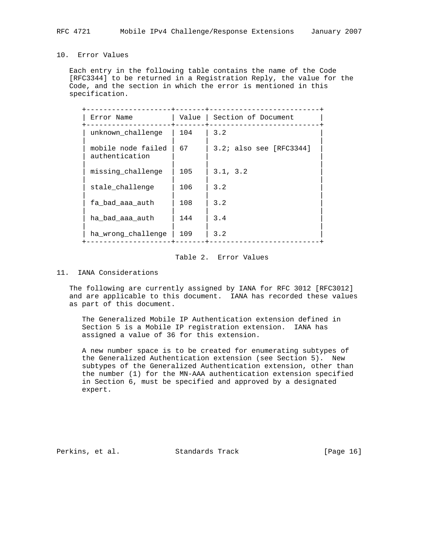## 10. Error Values

 Each entry in the following table contains the name of the Code [RFC3344] to be returned in a Registration Reply, the value for the Code, and the section in which the error is mentioned in this specification.

| Error Name                           |     | Value   Section of Document |
|--------------------------------------|-----|-----------------------------|
| unknown challenge                    | 104 | 3.2                         |
| mobile node failed<br>authentication | 67  | $3.2i$ also see [RFC3344]   |
| missing challenge                    | 105 | 3.1, 3.2                    |
| stale challenge                      | 106 | 3.2                         |
| fa bad aaa auth                      | 108 | 3.2                         |
| ha bad aaa auth                      | 144 | 3.4                         |
| ha wrong challenge                   | 109 | 3.2                         |
|                                      |     |                             |

# Table 2. Error Values

## 11. IANA Considerations

 The following are currently assigned by IANA for RFC 3012 [RFC3012] and are applicable to this document. IANA has recorded these values as part of this document.

 The Generalized Mobile IP Authentication extension defined in Section 5 is a Mobile IP registration extension. IANA has assigned a value of 36 for this extension.

 A new number space is to be created for enumerating subtypes of the Generalized Authentication extension (see Section 5). New subtypes of the Generalized Authentication extension, other than the number (1) for the MN-AAA authentication extension specified in Section 6, must be specified and approved by a designated expert.

Perkins, et al. Standards Track [Page 16]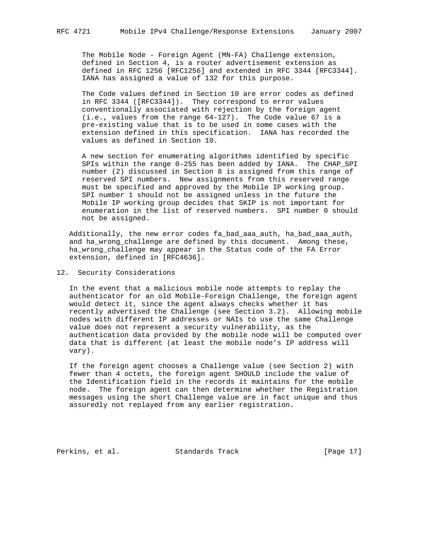The Mobile Node - Foreign Agent (MN-FA) Challenge extension, defined in Section 4, is a router advertisement extension as defined in RFC 1256 [RFC1256] and extended in RFC 3344 [RFC3344]. IANA has assigned a value of 132 for this purpose.

 The Code values defined in Section 10 are error codes as defined in RFC 3344 ([RFC3344]). They correspond to error values conventionally associated with rejection by the foreign agent (i.e., values from the range 64-127). The Code value 67 is a pre-existing value that is to be used in some cases with the extension defined in this specification. IANA has recorded the values as defined in Section 10.

 A new section for enumerating algorithms identified by specific SPIs within the range 0-255 has been added by IANA. The CHAP\_SPI number (2) discussed in Section 8 is assigned from this range of reserved SPI numbers. New assignments from this reserved range must be specified and approved by the Mobile IP working group. SPI number 1 should not be assigned unless in the future the Mobile IP working group decides that SKIP is not important for enumeration in the list of reserved numbers. SPI number 0 should not be assigned.

 Additionally, the new error codes fa\_bad\_aaa\_auth, ha\_bad\_aaa\_auth, and ha\_wrong\_challenge are defined by this document. Among these, ha\_wrong\_challenge may appear in the Status code of the FA Error extension, defined in [RFC4636].

12. Security Considerations

 In the event that a malicious mobile node attempts to replay the authenticator for an old Mobile-Foreign Challenge, the foreign agent would detect it, since the agent always checks whether it has recently advertised the Challenge (see Section 3.2). Allowing mobile nodes with different IP addresses or NAIs to use the same Challenge value does not represent a security vulnerability, as the authentication data provided by the mobile node will be computed over data that is different (at least the mobile node's IP address will vary).

 If the foreign agent chooses a Challenge value (see Section 2) with fewer than 4 octets, the foreign agent SHOULD include the value of the Identification field in the records it maintains for the mobile node. The foreign agent can then determine whether the Registration messages using the short Challenge value are in fact unique and thus assuredly not replayed from any earlier registration.

Perkins, et al. Standards Track [Page 17]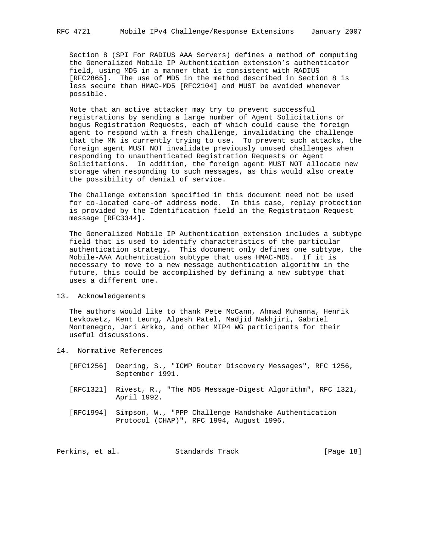Section 8 (SPI For RADIUS AAA Servers) defines a method of computing the Generalized Mobile IP Authentication extension's authenticator field, using MD5 in a manner that is consistent with RADIUS [RFC2865]. The use of MD5 in the method described in Section 8 is less secure than HMAC-MD5 [RFC2104] and MUST be avoided whenever possible.

 Note that an active attacker may try to prevent successful registrations by sending a large number of Agent Solicitations or bogus Registration Requests, each of which could cause the foreign agent to respond with a fresh challenge, invalidating the challenge that the MN is currently trying to use. To prevent such attacks, the foreign agent MUST NOT invalidate previously unused challenges when responding to unauthenticated Registration Requests or Agent Solicitations. In addition, the foreign agent MUST NOT allocate new storage when responding to such messages, as this would also create the possibility of denial of service.

 The Challenge extension specified in this document need not be used for co-located care-of address mode. In this case, replay protection is provided by the Identification field in the Registration Request message [RFC3344].

 The Generalized Mobile IP Authentication extension includes a subtype field that is used to identify characteristics of the particular authentication strategy. This document only defines one subtype, the Mobile-AAA Authentication subtype that uses HMAC-MD5. If it is necessary to move to a new message authentication algorithm in the future, this could be accomplished by defining a new subtype that uses a different one.

13. Acknowledgements

 The authors would like to thank Pete McCann, Ahmad Muhanna, Henrik Levkowetz, Kent Leung, Alpesh Patel, Madjid Nakhjiri, Gabriel Montenegro, Jari Arkko, and other MIP4 WG participants for their useful discussions.

- 14. Normative References
	- [RFC1256] Deering, S., "ICMP Router Discovery Messages", RFC 1256, September 1991.
	- [RFC1321] Rivest, R., "The MD5 Message-Digest Algorithm", RFC 1321, April 1992.
	- [RFC1994] Simpson, W., "PPP Challenge Handshake Authentication Protocol (CHAP)", RFC 1994, August 1996.

Perkins, et al. Standards Track [Page 18]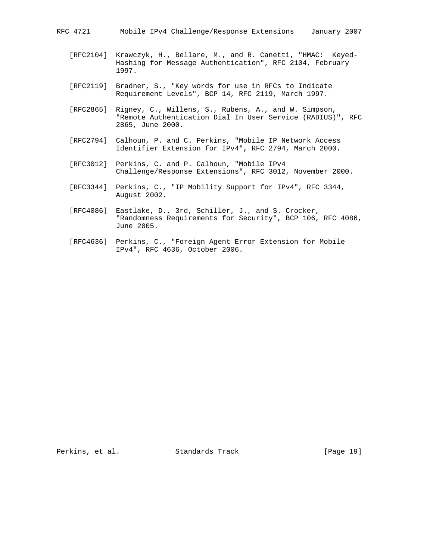RFC 4721 Mobile IPv4 Challenge/Response Extensions January 2007

- [RFC2104] Krawczyk, H., Bellare, M., and R. Canetti, "HMAC: Keyed- Hashing for Message Authentication", RFC 2104, February 1997.
- [RFC2119] Bradner, S., "Key words for use in RFCs to Indicate Requirement Levels", BCP 14, RFC 2119, March 1997.
- [RFC2865] Rigney, C., Willens, S., Rubens, A., and W. Simpson, "Remote Authentication Dial In User Service (RADIUS)", RFC 2865, June 2000.
- [RFC2794] Calhoun, P. and C. Perkins, "Mobile IP Network Access Identifier Extension for IPv4", RFC 2794, March 2000.
- [RFC3012] Perkins, C. and P. Calhoun, "Mobile IPv4 Challenge/Response Extensions", RFC 3012, November 2000.
- [RFC3344] Perkins, C., "IP Mobility Support for IPv4", RFC 3344, August 2002.
- [RFC4086] Eastlake, D., 3rd, Schiller, J., and S. Crocker, "Randomness Requirements for Security", BCP 106, RFC 4086, June 2005.
- [RFC4636] Perkins, C., "Foreign Agent Error Extension for Mobile IPv4", RFC 4636, October 2006.

Perkins, et al. Standards Track [Page 19]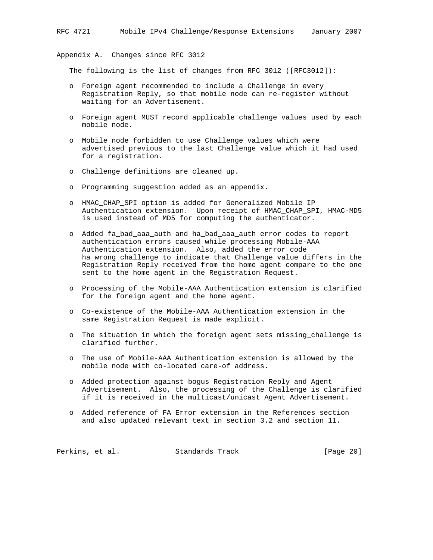Appendix A. Changes since RFC 3012

The following is the list of changes from RFC 3012 ([RFC3012]):

- o Foreign agent recommended to include a Challenge in every Registration Reply, so that mobile node can re-register without waiting for an Advertisement.
- o Foreign agent MUST record applicable challenge values used by each mobile node.
- o Mobile node forbidden to use Challenge values which were advertised previous to the last Challenge value which it had used for a registration.
- o Challenge definitions are cleaned up.
- o Programming suggestion added as an appendix.
- o HMAC\_CHAP\_SPI option is added for Generalized Mobile IP Authentication extension. Upon receipt of HMAC\_CHAP\_SPI, HMAC-MD5 is used instead of MD5 for computing the authenticator.
- o Added fa\_bad\_aaa\_auth and ha\_bad\_aaa\_auth error codes to report authentication errors caused while processing Mobile-AAA Authentication extension. Also, added the error code ha\_wrong\_challenge to indicate that Challenge value differs in the Registration Reply received from the home agent compare to the one sent to the home agent in the Registration Request.
- o Processing of the Mobile-AAA Authentication extension is clarified for the foreign agent and the home agent.
- o Co-existence of the Mobile-AAA Authentication extension in the same Registration Request is made explicit.
- o The situation in which the foreign agent sets missing\_challenge is clarified further.
- o The use of Mobile-AAA Authentication extension is allowed by the mobile node with co-located care-of address.
- o Added protection against bogus Registration Reply and Agent Advertisement. Also, the processing of the Challenge is clarified if it is received in the multicast/unicast Agent Advertisement.
- o Added reference of FA Error extension in the References section and also updated relevant text in section 3.2 and section 11.

Perkins, et al. Standards Track [Page 20]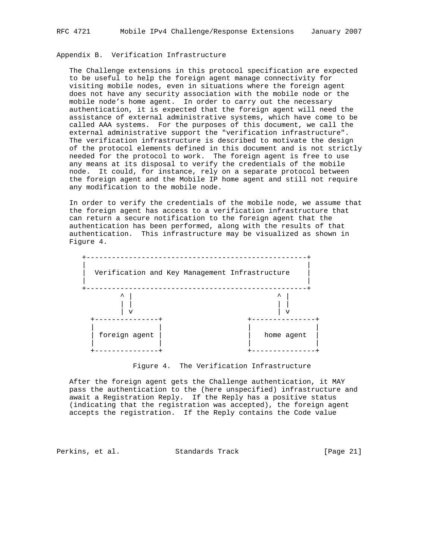## Appendix B. Verification Infrastructure

 The Challenge extensions in this protocol specification are expected to be useful to help the foreign agent manage connectivity for visiting mobile nodes, even in situations where the foreign agent does not have any security association with the mobile node or the mobile node's home agent. In order to carry out the necessary authentication, it is expected that the foreign agent will need the assistance of external administrative systems, which have come to be called AAA systems. For the purposes of this document, we call the external administrative support the "verification infrastructure". The verification infrastructure is described to motivate the design of the protocol elements defined in this document and is not strictly needed for the protocol to work. The foreign agent is free to use any means at its disposal to verify the credentials of the mobile node. It could, for instance, rely on a separate protocol between the foreign agent and the Mobile IP home agent and still not require any modification to the mobile node.

 In order to verify the credentials of the mobile node, we assume that the foreign agent has access to a verification infrastructure that can return a secure notification to the foreign agent that the authentication has been performed, along with the results of that authentication. This infrastructure may be visualized as shown in Figure 4.



Figure 4. The Verification Infrastructure

 After the foreign agent gets the Challenge authentication, it MAY pass the authentication to the (here unspecified) infrastructure and await a Registration Reply. If the Reply has a positive status (indicating that the registration was accepted), the foreign agent accepts the registration. If the Reply contains the Code value

Perkins, et al. Standards Track [Page 21]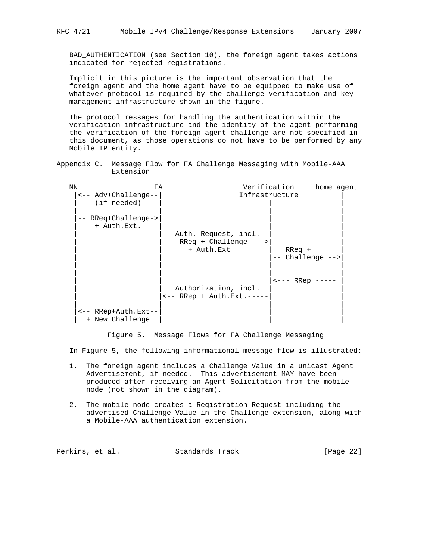BAD\_AUTHENTICATION (see Section 10), the foreign agent takes actions indicated for rejected registrations.

 Implicit in this picture is the important observation that the foreign agent and the home agent have to be equipped to make use of whatever protocol is required by the challenge verification and key management infrastructure shown in the figure.

 The protocol messages for handling the authentication within the verification infrastructure and the identity of the agent performing the verification of the foreign agent challenge are not specified in this document, as those operations do not have to be performed by any Mobile IP entity.

Appendix C. Message Flow for FA Challenge Messaging with Mobile-AAA Extension

| MN |                                        | FA                                                             | Verification   | home agent          |
|----|----------------------------------------|----------------------------------------------------------------|----------------|---------------------|
|    | <-- Adv+Challenge--<br>(if needed)     |                                                                | Infrastructure |                     |
|    | -- RReq+Challenge-><br>+ Auth.Ext.     | Auth. Request, incl.<br>-- RReq + Challenge ---><br>+ Auth.Ext | $R$ Req $+$    |                     |
|    |                                        |                                                                |                | $--$ Challenge $--$ |
|    |                                        | Authorization, incl.<br>$\leftarrow$ - RRep + Auth. Ext. ----- | <--- RRep      |                     |
|    | <-- RRep+Auth.Ext--<br>+ New Challenge |                                                                |                |                     |

Figure 5. Message Flows for FA Challenge Messaging

In Figure 5, the following informational message flow is illustrated:

- 1. The foreign agent includes a Challenge Value in a unicast Agent Advertisement, if needed. This advertisement MAY have been produced after receiving an Agent Solicitation from the mobile node (not shown in the diagram).
- 2. The mobile node creates a Registration Request including the advertised Challenge Value in the Challenge extension, along with a Mobile-AAA authentication extension.

| Perkins, et al.<br>Standards Track | [Page $22$ ] |
|------------------------------------|--------------|
|------------------------------------|--------------|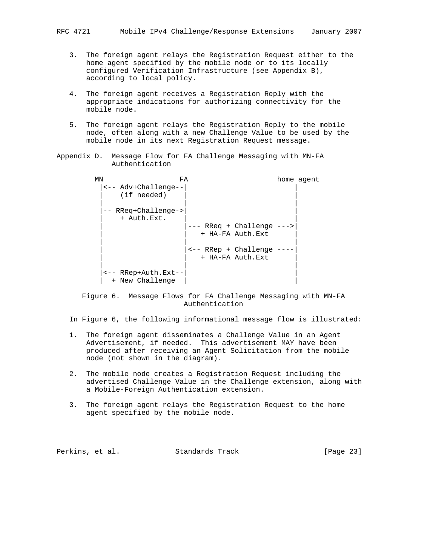- 3. The foreign agent relays the Registration Request either to the home agent specified by the mobile node or to its locally configured Verification Infrastructure (see Appendix B), according to local policy.
- 4. The foreign agent receives a Registration Reply with the appropriate indications for authorizing connectivity for the mobile node.
- 5. The foreign agent relays the Registration Reply to the mobile node, often along with a new Challenge Value to be used by the mobile node in its next Registration Request message.

```
Appendix D. Message Flow for FA Challenge Messaging with MN-FA
            Authentication
```
MN FA **FA** home agent |<-- Adv+Challenge--| | (if needed) | | | -- RReq+Challenge-> + Auth.Ext. --- RReq + Challenge ---> + HA-FA Auth.Ext | | | | |<-- RRep + Challenge ----| + HA-FA Auth.Ext | | | |<-- RRep+Auth.Ext--| | + New Challenge

 Figure 6. Message Flows for FA Challenge Messaging with MN-FA Authentication

In Figure 6, the following informational message flow is illustrated:

- 1. The foreign agent disseminates a Challenge Value in an Agent Advertisement, if needed. This advertisement MAY have been produced after receiving an Agent Solicitation from the mobile node (not shown in the diagram).
- 2. The mobile node creates a Registration Request including the advertised Challenge Value in the Challenge extension, along with a Mobile-Foreign Authentication extension.
- 3. The foreign agent relays the Registration Request to the home agent specified by the mobile node.

| Perkins, et al.<br>Standards Track | [Page 23] |
|------------------------------------|-----------|
|------------------------------------|-----------|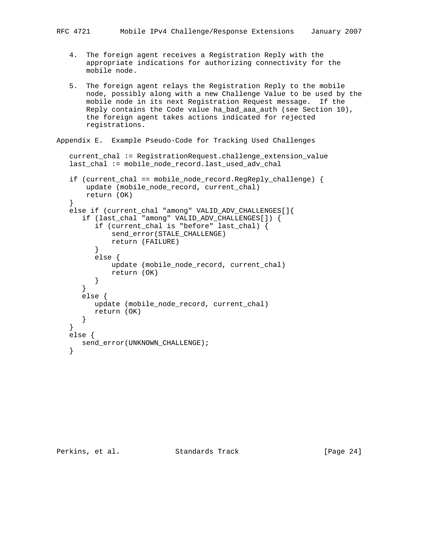- 4. The foreign agent receives a Registration Reply with the appropriate indications for authorizing connectivity for the mobile node.
- 5. The foreign agent relays the Registration Reply to the mobile node, possibly along with a new Challenge Value to be used by the mobile node in its next Registration Request message. If the Reply contains the Code value ha\_bad\_aaa\_auth (see Section 10), the foreign agent takes actions indicated for rejected registrations.

```
Appendix E. Example Pseudo-Code for Tracking Used Challenges
```

```
 current_chal := RegistrationRequest.challenge_extension_value
  last_chal := mobile_node_record.last_used_adv_chal
  if (current_chal == mobile_node_record.RegReply_challenge) {
      update (mobile_node_record, current_chal)
      return (OK)
}
  else if (current_chal "among" VALID_ADV_CHALLENGES[]{
     if (last_chal "among" VALID_ADV_CHALLENGES[]) {
        if (current_chal is "before" last_chal) {
            send_error(STALE_CHALLENGE)
        return (FAILURE)
}
        else {
           update (mobile node record, current chal)
            return (OK)
         }
     }
     else {
        update (mobile_node_record, current_chal)
        return (OK)
     }
  }
  else {
     send_error(UNKNOWN_CHALLENGE);
```
Perkins, et al. Standards Track [Page 24]

}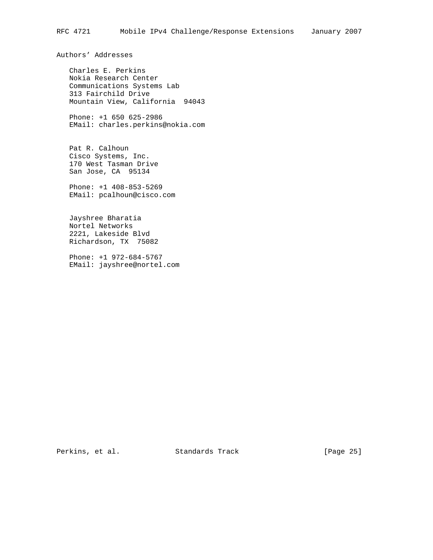Authors' Addresses

 Charles E. Perkins Nokia Research Center Communications Systems Lab 313 Fairchild Drive Mountain View, California 94043

 Phone: +1 650 625-2986 EMail: charles.perkins@nokia.com

 Pat R. Calhoun Cisco Systems, Inc. 170 West Tasman Drive San Jose, CA 95134

 Phone: +1 408-853-5269 EMail: pcalhoun@cisco.com

 Jayshree Bharatia Nortel Networks 2221, Lakeside Blvd Richardson, TX 75082

 Phone: +1 972-684-5767 EMail: jayshree@nortel.com

Perkins, et al. Standards Track [Page 25]